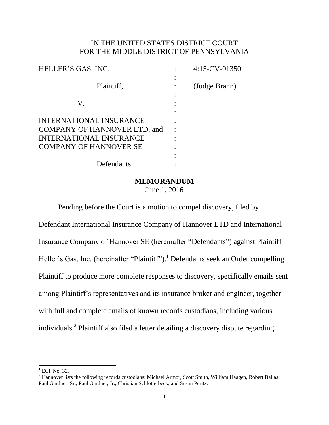## IN THE UNITED STATES DISTRICT COURT FOR THE MIDDLE DISTRICT OF PENNSYLVANIA

| HELLER'S GAS, INC.                                                                                                                       | $4:15$ -CV-01350 |
|------------------------------------------------------------------------------------------------------------------------------------------|------------------|
| Plaintiff,                                                                                                                               | (Judge Brann)    |
| V.                                                                                                                                       |                  |
| <b>INTERNATIONAL INSURANCE</b><br><b>COMPANY OF HANNOVER LTD, and</b><br><b>INTERNATIONAL INSURANCE</b><br><b>COMPANY OF HANNOVER SE</b> |                  |
| Defendants.                                                                                                                              |                  |

#### **MEMORANDUM**

June 1, 2016

Pending before the Court is a motion to compel discovery, filed by

Defendant International Insurance Company of Hannover LTD and International Insurance Company of Hannover SE (hereinafter "Defendants") against Plaintiff Heller's Gas, Inc. (hereinafter "Plaintiff").<sup>1</sup> Defendants seek an Order compelling Plaintiff to produce more complete responses to discovery, specifically emails sent among Plaintiff's representatives and its insurance broker and engineer, together with full and complete emails of known records custodians, including various individuals.<sup>2</sup> Plaintiff also filed a letter detailing a discovery dispute regarding

l

 $1$  ECF No. 32.

<sup>&</sup>lt;sup>2</sup> Hannover lists the following records custodians: Michael Armor, Scott Smith, William Haagen, Robert Ballas, Paul Gardner, Sr., Paul Gardner, Jr., Christian Schlotterbeck, and Susan Peritz.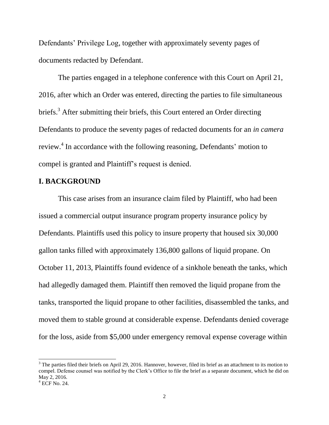Defendants' Privilege Log, together with approximately seventy pages of documents redacted by Defendant.

The parties engaged in a telephone conference with this Court on April 21, 2016, after which an Order was entered, directing the parties to file simultaneous briefs.<sup>3</sup> After submitting their briefs, this Court entered an Order directing Defendants to produce the seventy pages of redacted documents for an *in camera* review.<sup>4</sup> In accordance with the following reasoning, Defendants' motion to compel is granted and Plaintiff's request is denied.

## **I. BACKGROUND**

This case arises from an insurance claim filed by Plaintiff, who had been issued a commercial output insurance program property insurance policy by Defendants. Plaintiffs used this policy to insure property that housed six 30,000 gallon tanks filled with approximately 136,800 gallons of liquid propane. On October 11, 2013, Plaintiffs found evidence of a sinkhole beneath the tanks, which had allegedly damaged them. Plaintiff then removed the liquid propane from the tanks, transported the liquid propane to other facilities, disassembled the tanks, and moved them to stable ground at considerable expense. Defendants denied coverage for the loss, aside from \$5,000 under emergency removal expense coverage within

 $\overline{\phantom{a}}$ 

<sup>&</sup>lt;sup>3</sup> The parties filed their briefs on April 29, 2016. Hannover, however, filed its brief as an attachment to its motion to compel. Defense counsel was notified by the Clerk's Office to file the brief as a separate document, which he did on May 2, 2016.

 $4$  ECF No. 24.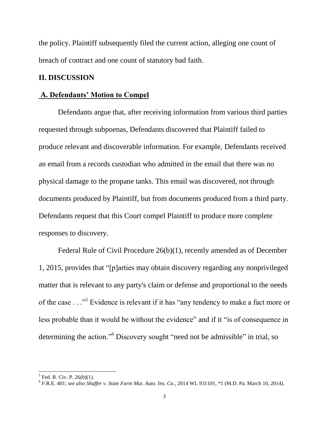the policy. Plaintiff subsequently filed the current action, alleging one count of breach of contract and one count of statutory bad faith.

### **II. DISCUSSION**

#### **A. Defendants' Motion to Compel**

Defendants argue that, after receiving information from various third parties requested through subpoenas, Defendants discovered that Plaintiff failed to produce relevant and discoverable information. For example, Defendants received an email from a records custodian who admitted in the email that there was no physical damage to the propane tanks. This email was discovered, not through documents produced by Plaintiff, but from documents produced from a third party. Defendants request that this Court compel Plaintiff to produce more complete responses to discovery.

Federal Rule of Civil Procedure 26(b)(1), recently amended as of December 1, 2015, provides that "[p]arties may obtain discovery regarding any nonprivileged matter that is relevant to any party's claim or defense and proportional to the needs of the case . . ."<sup>5</sup> Evidence is relevant if it has "any tendency to make a fact more or less probable than it would be without the evidence" and if it "is of consequence in determining the action."<sup>6</sup> Discovery sought "need not be admissible" in trial, so

 $5$  Fed. R. Civ. P. 26(b)(1).

<sup>6</sup> F.R.E. 401; *see also Shaffer v. State Farm Mut. Auto. Ins. Co.*, 2014 WL 931101, \*1 (M.D. Pa. March 10, 2014).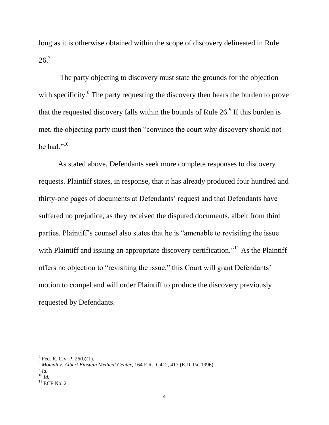long as it is otherwise obtained within the scope of discovery delineated in Rule  $26.7$ 

The party objecting to discovery must state the grounds for the objection with specificity.<sup>8</sup> The party requesting the discovery then bears the burden to prove that the requested discovery falls within the bounds of Rule  $26<sup>9</sup>$  If this burden is met, the objecting party must then "convince the court why discovery should not be had."<sup>10</sup>

As stated above, Defendants seek more complete responses to discovery requests. Plaintiff states, in response, that it has already produced four hundred and thirty-one pages of documents at Defendants' request and that Defendants have suffered no prejudice, as they received the disputed documents, albeit from third parties. Plaintiff's counsel also states that he is "amenable to revisiting the issue with Plaintiff and issuing an appropriate discovery certification.<sup> $11$ </sup> As the Plaintiff offers no objection to "revisiting the issue," this Court will grant Defendants' motion to compel and will order Plaintiff to produce the discovery previously requested by Defendants.

 $\overline{\phantom{a}}$ 

 $7$  Fed. R. Civ. P. 26(b)(1).

<sup>8</sup> *Momah v. Albert Einstein Medical Center*, 164 F.R.D. 412, 417 (E.D. Pa. 1996).

<sup>9</sup> *Id.*

<sup>10</sup> *Id.*

 $11$  ECF No. 21.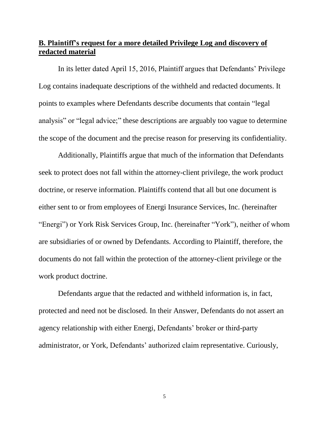## **B. Plaintiff's request for a more detailed Privilege Log and discovery of redacted material**

In its letter dated April 15, 2016, Plaintiff argues that Defendants' Privilege Log contains inadequate descriptions of the withheld and redacted documents. It points to examples where Defendants describe documents that contain "legal analysis" or "legal advice;" these descriptions are arguably too vague to determine the scope of the document and the precise reason for preserving its confidentiality.

Additionally, Plaintiffs argue that much of the information that Defendants seek to protect does not fall within the attorney-client privilege, the work product doctrine, or reserve information. Plaintiffs contend that all but one document is either sent to or from employees of Energi Insurance Services, Inc. (hereinafter "Energi") or York Risk Services Group, Inc. (hereinafter "York"), neither of whom are subsidiaries of or owned by Defendants. According to Plaintiff, therefore, the documents do not fall within the protection of the attorney-client privilege or the work product doctrine.

Defendants argue that the redacted and withheld information is, in fact, protected and need not be disclosed. In their Answer, Defendants do not assert an agency relationship with either Energi, Defendants' broker or third-party administrator, or York, Defendants' authorized claim representative. Curiously,

5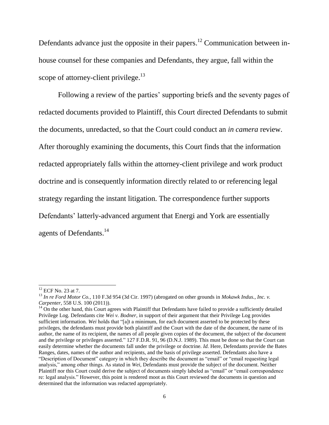Defendants advance just the opposite in their papers.<sup>12</sup> Communication between inhouse counsel for these companies and Defendants, they argue, fall within the scope of attorney-client privilege.<sup>13</sup>

Following a review of the parties' supporting briefs and the seventy pages of redacted documents provided to Plaintiff, this Court directed Defendants to submit the documents, unredacted, so that the Court could conduct an *in camera* review. After thoroughly examining the documents, this Court finds that the information redacted appropriately falls within the attorney-client privilege and work product doctrine and is consequently information directly related to or referencing legal strategy regarding the instant litigation. The correspondence further supports Defendants' latterly-advanced argument that Energi and York are essentially agents of Defendants.<sup>14</sup>

 $\overline{\phantom{a}}$ 

 $12$  ECF No. 23 at 7.

<sup>13</sup> *In re Ford Motor Co.*, 110 F.3d 954 (3d Cir. 1997) (abrogated on other grounds in *Mokawk Indus., Inc. v. Carpenter*, 558 U.S. 100 (2011)).

 $<sup>14</sup>$  On the other hand, this Court agrees with Plaintiff that Defendants have failed to provide a sufficiently detailed</sup> Privilege Log. Defendants cite *Wei v. Bodner*, in support of their argument that their Privilege Log provides sufficient information. *Wei* holds that "[a]t a minimum, for each document asserted to be protected by these privileges, the defendants must provide both plaintiff and the Court with the date of the document, the name of its author, the name of its recipient, the names of all people given copies of the document, the subject of the document and the privilege or privileges asserted." 127 F.D.R. 91, 96 (D.N.J. 1989). This must be done so that the Court can easily determine whether the documents fall under the privilege or doctrine. *Id.* Here, Defendants provide the Bates Ranges, dates, names of the author and recipients, and the basis of privilege asserted. Defendants also have a "Description of Document" category in which they describe the document as "email" or "email requesting legal analysis," among other things. As stated in *Wei*, Defendants must provide the subject of the document. Neither Plaintiff nor this Court could derive the subject of documents simply labeled as "email" or "email correspondence re: legal analysis." However, this point is rendered moot as this Court reviewed the documents in question and determined that the information was redacted appropriately.